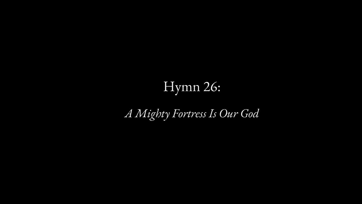#### Hymn 26:

*A Mighty Fortress Is Our God*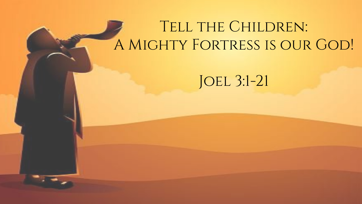#### TELL THE CHILDREN: A Mighty Fortress is our God!

JOEL 3:1-21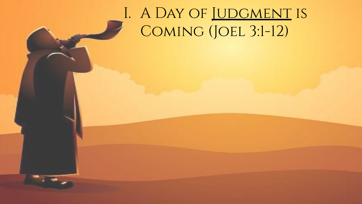# I. A DAY OF JUDGMENT IS Coming (Joel 3:1-12)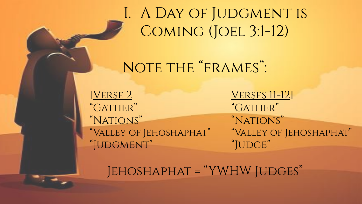I. A DAY OF JUDGMENT IS Coming (Joel 3:1-12)

#### NOTE THE "FRAMES":

[Verse 2 "Gather" "Nations" "Valley of Jehoshaphat" "Judgment"

**VERSES 11-12]** "GATHER" "Nations" "Valley of Jehoshaphat" "JUDGE"

Jehoshaphat = "YWHW Judges"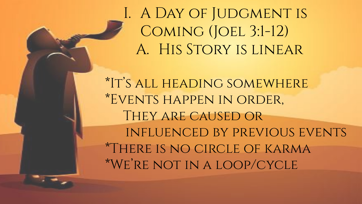\*It's all heading somewhere \*Events happen in order, They are caused or influenced by previous events \*There is no circle of karma \*We're not in a loop/cycle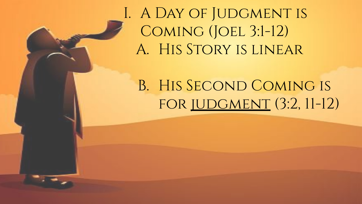#### B. His Second Coming is for judgment (3:2, 11-12)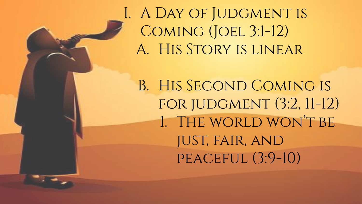B. His Second Coming is for judgment (3:2, 11-12) 1. The world won't be just, fair, and peaceful (3:9-10)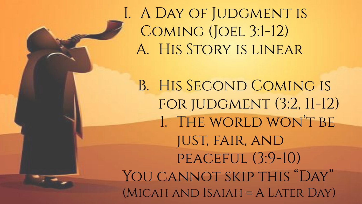B. His Second Coming is for judgment (3:2, 11-12) 1. The world won't be just, fair, and peaceful (3:9-10) YOU CANNOT SKIP THIS "DAY" (Micah and Isaiah = A Later Day)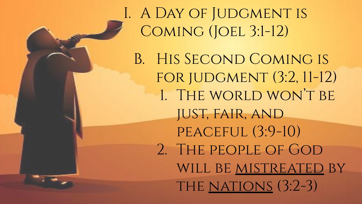I. A DAY OF JUDGMENT IS Coming (Joel 3:1-12) B. His Second Coming is for judgment (3:2, 11-12) 1. THE WORLD WON'T BE just, fair, and PEACEFUL (3:9-10) 2. The people of God will be mistreated by THE NATIONS (3:2-3)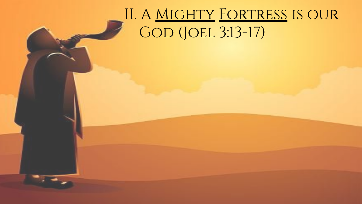# II. A Mighty Fortress is our GOD (JOEL 3:13-17)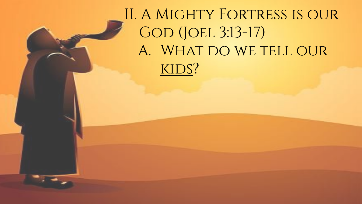# II. A Mighty Fortress is our GOD (JOEL 3:13-17) A. WHAT DO WE TELL OUR KIDS?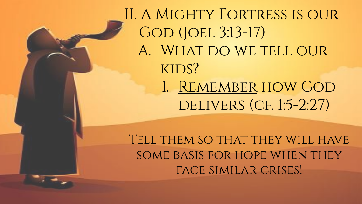II. A Mighty Fortress is our GOD (JOEL 3:13-17) A. WHAT DO WE TELL OUR kids? 1. Remember how God DELIVERS (CF. 1:5-2:27)

Tell them so that they will have some basis for hope when they face similar crises!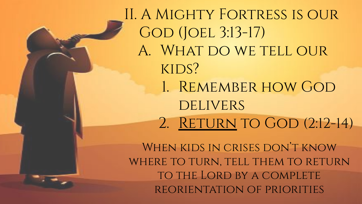II. A Mighty Fortress is our GOD (JOEL 3:13-17) A. WHAT DO WE TELL OUR kids? 1. Remember how God **DELIVERS** 2. RETURN TO GOD (2:12-14)

When kids in crises don't know WHERE TO TURN, TELL THEM TO RETURN to the Lord by a complete reorientation of priorities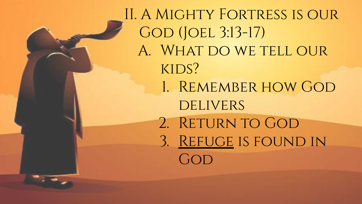II. A Mighty Fortress is our GOD (JOEL 3:13-17) A. WHAT DO WE TELL OUR kids? 1. Remember how God **DELIVERS** 2. RETURN TO GOD 3. Refuge is found in  $GOD$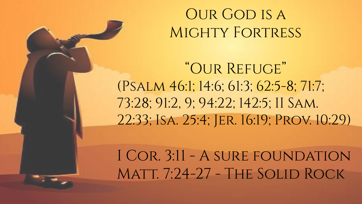### OUR GOD IS A MIGHTY FORTRESS

"Our Refuge" (Psalm 46:1; 14:6; 61:3; 62:5-8; 71:7; 73:28; 91:2, 9; 94:22; 142:5; II Sam. 22:33; Isa. 25:4; Jer. 16:19; Prov. 10:29)

I Cor. 3:11 - A sure foundation Matt. 7:24-27 - The Solid Rock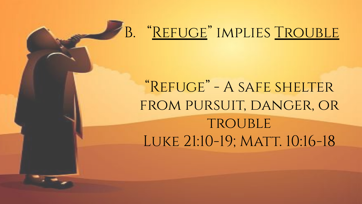### B. "REFUGE" IMPLIES TROUBLE

# "Refuge" - A safe shelter from pursuit, danger, or TROUBLE LUKE 21:10-19; MATT. 10:16-18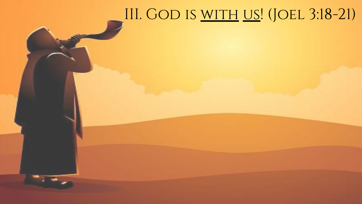#### III. GOD IS <u>WITH US</u>! (JOEL 3:18-21)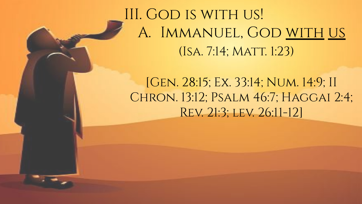## III. GOD IS WITH US! A. IMMANUEL, GOD WITH US (ISA. 7:14; MATT. 1:23)

[Gen. 28:15; Ex. 33:14; Num. 14:9; II CHRON. 13:12; PSALM 46:7; HAGGAI 2:4; Rev. 21:3; lev. 26:11-12]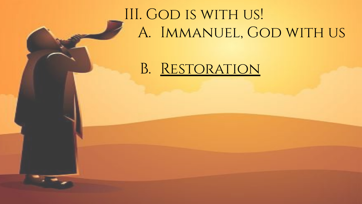# III. GOD IS WITH US! A. Immanuel, God with us

#### B. Restoration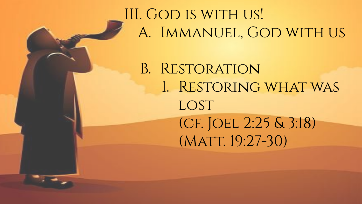### III. GOD IS WITH US! A. Immanuel, God with us

B. Restoration 1. Restoring what was LOST (cf. Joel 2:25 & 3:18) (MATT. 19:27-30)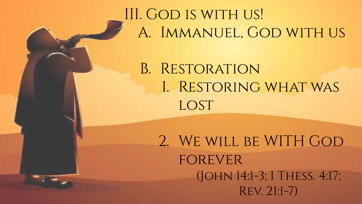# III. GOD IS WITH US! A. Immanuel, God with us

B. Restoration 1. Restoring what was LOST

2. We will be WITH God **FOREVER** (John 14:1-3; I Thess. 4:17; Rev. 21:1-7)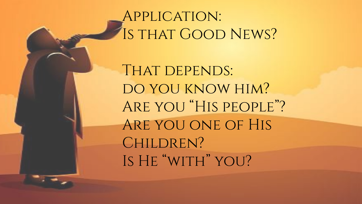### Application: IS THAT GOOD NEWS?

THAT DEPENDS: DO YOU KNOW HIM? Are you "His people"? Are you one of His CHILDREN? IS HE "WITH" YOU?